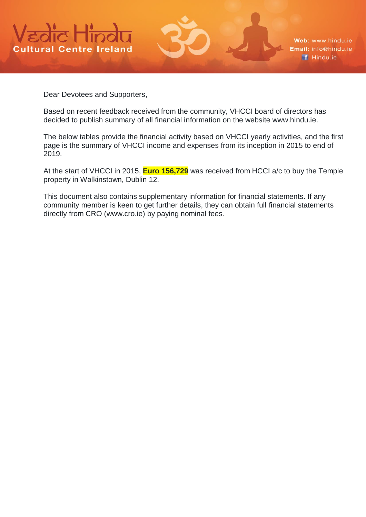

Web: www.hindu.ie Email: info@hindu.ie f Hindu.ie

Dear Devotees and Supporters,

Based on recent feedback received from the community, VHCCI board of directors has decided to publish summary of all financial information on the website www.hindu.ie.

The below tables provide the financial activity based on VHCCI yearly activities, and the first page is the summary of VHCCI income and expenses from its inception in 2015 to end of 2019.

At the start of VHCCI in 2015, **Euro 156,729** was received from HCCI a/c to buy the Temple property in Walkinstown, Dublin 12.

This document also contains supplementary information for financial statements. If any community member is keen to get further details, they can obtain full financial statements directly from CRO (www.cro.ie) by paying nominal fees.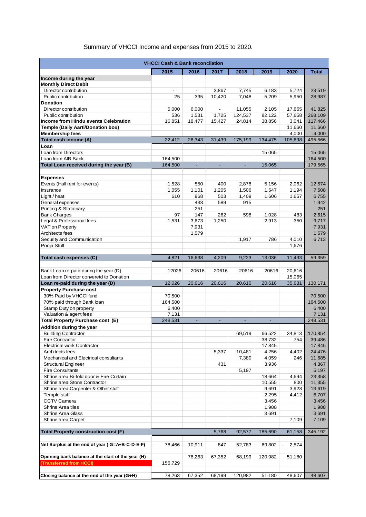#### Summary of VHCCI Income and expenses from 2015 to 2020.

| <b>VHCCI Cash &amp; Bank reconcilation</b>        |                          |                |                |         |         |                  |              |
|---------------------------------------------------|--------------------------|----------------|----------------|---------|---------|------------------|--------------|
|                                                   | 2015                     | 2016           | 2017           | 2018    | 2019    | 2020             | <b>Total</b> |
| Income during the year                            |                          |                |                |         |         |                  |              |
| <b>Monthly Direct Debit</b>                       |                          |                |                |         |         |                  |              |
| Director contribution                             | $\overline{\phantom{a}}$ | $\blacksquare$ | 3,867          | 7,745   | 6,183   | 5,724            | 23,519       |
| Public contribution                               | 25                       | 335            | 10,420         | 7,048   | 5,209   | 5,950            | 28,987       |
| <b>Donation</b>                                   |                          |                |                |         |         |                  |              |
| Director contribution                             | 5,000                    | 6,000          | $\blacksquare$ | 11,055  | 2,105   | 17,665           | 41,825       |
| Public contribution                               | 536                      | 1,531          | 1,725          | 124,537 | 82,122  | 57,658           | 268,109      |
| Income from Hindu events Celebration              | 16,851                   | 18,477         | 15,427         | 24,814  | 38,856  | 3,041            | 117,466      |
| <b>Temple (Daily Aarti/Donation box)</b>          |                          |                |                |         |         | 11,660           | 11,660       |
| <b>Membership fees</b>                            |                          |                |                |         |         | 4,000            | 4,000        |
| Total cash income (A)                             | 22,412                   | 26,343         | 31,439         | 175,199 | 134,475 | 105,698          | 495,566      |
| Loan                                              |                          |                |                |         |         |                  |              |
| Loan from Directors                               |                          |                |                |         | 15,065  |                  | 15,065       |
| Loan from AIB Bank                                | 164,500                  |                |                |         |         |                  | 164,500      |
| Total Loan received during the year (B)           | 164,500                  | ä,             | $\Box$         | $\Box$  | 15,065  |                  | 179,565      |
|                                                   |                          |                |                |         |         |                  |              |
| <b>Expenses</b>                                   |                          |                |                |         |         |                  |              |
| Events (Hall rent for events)                     | 1,528                    | 550            | 400            | 2,878   | 5,156   | 2,062            | 12,574       |
| Insurance                                         | 1,055                    | 1,101          | 1,205          | 1,506   | 1,547   | 1,194            | 7,608        |
| Light / heat                                      | 610                      | 968            | 503            | 1,409   | 1,606   | 1,657            | 6,755        |
| General expenses                                  |                          | 438            | 589            | 915     |         |                  | 1,942        |
| Printing & Stationary                             |                          | 251            |                |         |         |                  | 251          |
| <b>Bank Charges</b>                               | 97                       | 147            | 262            | 598     | 1,028   | 483              | 2,615        |
| Legal & Professional fees                         | 1,531                    | 3,673          | 1,250          |         | 2,913   | 350              | 9,717        |
| VAT on Property                                   |                          | 7,931          |                |         |         |                  | 7,931        |
| Architects fees                                   |                          | 1,579          |                |         |         |                  | 1,579        |
|                                                   |                          |                |                |         | 786     | 4,010            |              |
| Security and Communication<br>Pooja Stuff         |                          |                |                | 1,917   |         | 1,676            | 6,713        |
|                                                   |                          |                |                |         |         |                  |              |
| Total cash expenses (C)                           | 4,821                    | 16,638         | 4,209          | 9,223   | 13,036  | 11,433           | 59,359       |
|                                                   |                          |                |                |         |         |                  |              |
| Bank Loan re-paid during the year (D)             | 12026                    | 20616          | 20616          | 20616   | 20616   | 20,616           |              |
| Loan from Director converetd to Donation          |                          |                |                |         |         |                  |              |
| Loan re-paid during the year (D)                  | 12,026                   | 20,616         | 20,616         | 20,616  | 20,616  | 15,065<br>35,681 | 130,171      |
|                                                   |                          |                |                |         |         |                  |              |
| <b>Property Purchase cost</b>                     |                          |                |                |         |         |                  |              |
| 30% Paid by VHCCI fund                            | 70,500                   |                |                |         |         |                  | 70,500       |
| 70% paid through Bank loan                        | 164,500                  |                |                |         |         |                  | 164,500      |
| Stamp Duty on property                            | 6,400                    |                |                |         |         |                  | 6,400        |
| Valuation & agent fees                            | 7,131                    |                |                |         |         |                  | 7,131        |
| <b>Total Property Purchase cost (E)</b>           | 248,531                  | $\blacksquare$ |                |         |         |                  | 248,531      |
| Addition during the year                          |                          |                |                |         |         |                  |              |
| <b>Building Contractor</b>                        |                          |                |                | 69,519  | 66,522  | 34,813           | 170,854      |
| <b>Fire Contractor</b>                            |                          |                |                |         | 38,732  | 754              | 39,486       |
| <b>Electrical work Contractor</b>                 |                          |                |                |         | 17,845  |                  | 17,845       |
| Architects fees                                   |                          |                | 5,337          | 10,481  | 4,256   | 4,402            | 24,476       |
| Mechanical and Electrical consultants             |                          |                |                | 7,380   | 4,059   | 246              | 11,685       |
| <b>Structural Engineer</b>                        |                          |                | 431            |         | 3,936   |                  | 4,367        |
| <b>Fire Consultants</b>                           |                          |                |                | 5,197   |         |                  | 5,197        |
| Shrine area Bi-fold door & Fire Curtain           |                          |                |                |         | 18,664  | 4,694            | 23,358       |
| Shrine area Stone Contractor                      |                          |                |                |         | 10,555  | 800              | 11,355       |
| Shrine area Carpenter & Other stuff               |                          |                |                |         | 9,691   | 3,928            | 13,619       |
| Temple stuff                                      |                          |                |                |         | 2,295   | 4,412            | 6,707        |
| <b>CCTV Camera</b>                                |                          |                |                |         | 3,456   |                  | 3,456        |
| Shrine Area tiles                                 |                          |                |                |         | 1,988   |                  | 1,988        |
| <b>Shrine Area Glass</b>                          |                          |                |                |         | 3,691   |                  | 3,691        |
| Shrine area Carpet                                |                          |                |                |         |         | 7,109            | 7,109        |
|                                                   |                          |                |                |         |         |                  |              |
| <b>Total Property construction cost (F)</b>       |                          |                | 5,768          | 92,577  | 185,690 | 61,158           | 345,192      |
|                                                   |                          |                |                |         |         |                  |              |
| Net Surplus at the end of year (G=A+B-C-D-E-F)    | 78,466                   | $-10,911$      | 847            | 52,783  | 69,802  | 2,574            |              |
|                                                   |                          |                |                |         |         |                  |              |
| Opening bank balance at the start of the year (H) |                          | 78,263         | 67,352         | 68,199  | 120,982 | 51,180           |              |
| (Transferred from HCCI)                           | 156,729                  |                |                |         |         |                  |              |
|                                                   |                          |                |                |         |         |                  |              |
|                                                   | 78,263                   | 67,352         | 68,199         | 120,982 | 51,180  | 48,607           | 48,607       |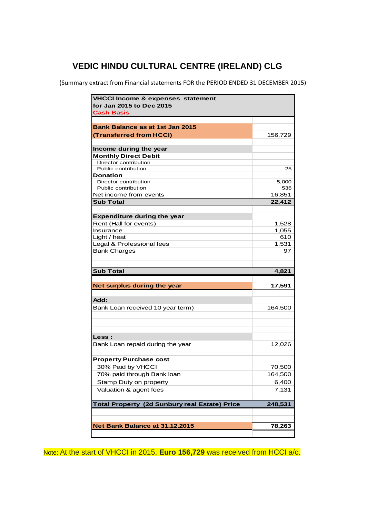(Summary extract from Financial statements FOR the PERIOD ENDED 31 DECEMBER 2015)

| <b>VHCCI Income &amp; expenses statement</b><br>for Jan 2015 to Dec 2015 |         |  |
|--------------------------------------------------------------------------|---------|--|
| <b>Cash Basis</b>                                                        |         |  |
|                                                                          |         |  |
| <b>Bank Balance as at 1st Jan 2015</b>                                   |         |  |
| (Transferred from HCCI)                                                  | 156,729 |  |
|                                                                          |         |  |
| Income during the year                                                   |         |  |
| <b>Monthly Direct Debit</b><br>Director contribution                     |         |  |
| Public contribution                                                      | 25      |  |
| Donation                                                                 |         |  |
| Director contribution                                                    | 5,000   |  |
| Public contribution                                                      | 536     |  |
| Net income from events                                                   | 16,851  |  |
| <b>Sub Total</b>                                                         | 22,412  |  |
|                                                                          |         |  |
| <b>Expenditure during the year</b>                                       |         |  |
| Rent (Hall for events)                                                   | 1,528   |  |
| Insurance                                                                | 1,055   |  |
| Light / heat                                                             | 610     |  |
| Legal & Professional fees                                                | 1,531   |  |
| <b>Bank Charges</b>                                                      | 97      |  |
|                                                                          |         |  |
|                                                                          |         |  |
|                                                                          |         |  |
| <b>Sub Total</b>                                                         | 4,821   |  |
|                                                                          |         |  |
| Net surplus during the year                                              | 17,591  |  |
|                                                                          |         |  |
| Add:                                                                     |         |  |
| Bank Loan received 10 year term)                                         | 164,500 |  |
|                                                                          |         |  |
|                                                                          |         |  |
|                                                                          |         |  |
| <b>Less:</b>                                                             |         |  |
| Bank Loan repaid during the year                                         | 12,026  |  |
|                                                                          |         |  |
| <b>Property Purchase cost</b>                                            |         |  |
| 30% Paid by VHCCI                                                        | 70,500  |  |
| 70% paid through Bank loan                                               | 164,500 |  |
|                                                                          |         |  |
| Stamp Duty on property                                                   | 6,400   |  |
| Valuation & agent fees                                                   | 7,131   |  |
|                                                                          |         |  |
| <b>Total Property (2d Sunbury real Estate) Price</b>                     | 248,531 |  |
|                                                                          |         |  |
| Net Bank Balance at 31.12.2015                                           | 78,263  |  |

Note: At the start of VHCCI in 2015, **Euro 156,729** was received from HCCI a/c.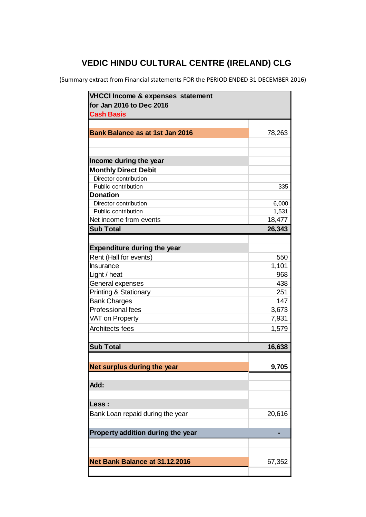(Summary extract from Financial statements FOR the PERIOD ENDED 31 DECEMBER 2016)

| <b>VHCCI Income &amp; expenses statement</b> |                |  |
|----------------------------------------------|----------------|--|
| for Jan 2016 to Dec 2016                     |                |  |
| <b>Cash Basis</b>                            |                |  |
|                                              |                |  |
| <b>Bank Balance as at 1st Jan 2016</b>       | 78,263         |  |
|                                              |                |  |
|                                              |                |  |
| Income during the year                       |                |  |
| <b>Monthly Direct Debit</b>                  |                |  |
| Director contribution                        |                |  |
| Public contribution                          | 335            |  |
| <b>Donation</b>                              |                |  |
| Director contribution<br>Public contribution | 6,000<br>1,531 |  |
| Net income from events                       |                |  |
|                                              | 18,477         |  |
| <b>Sub Total</b>                             | 26,343         |  |
|                                              |                |  |
| <b>Expenditure during the year</b>           |                |  |
| Rent (Hall for events)                       | 550            |  |
| Insurance                                    | 1,101          |  |
| Light / heat                                 | 968            |  |
| General expenses                             | 438            |  |
| <b>Printing &amp; Stationary</b>             | 251            |  |
| <b>Bank Charges</b>                          | 147            |  |
| <b>Professional fees</b>                     | 3,673          |  |
| VAT on Property                              | 7,931          |  |
| Architects fees                              | 1,579          |  |
|                                              |                |  |
| <b>Sub Total</b>                             | 16,638         |  |
|                                              |                |  |
| Net surplus during the year                  | 9,705          |  |
|                                              |                |  |
| Add:                                         |                |  |
|                                              |                |  |
| Less :                                       |                |  |
| Bank Loan repaid during the year             | 20,616         |  |
|                                              |                |  |
|                                              |                |  |
| Property addition during the year            |                |  |
|                                              |                |  |
|                                              |                |  |
| Net Bank Balance at 31.12.2016               | 67,352         |  |
|                                              |                |  |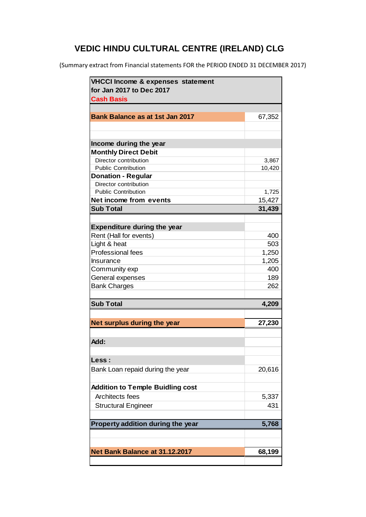(Summary extract from Financial statements FOR the PERIOD ENDED 31 DECEMBER 2017)

| VHCCI Income & expenses statement<br>for Jan 2017 to Dec 2017 |        |
|---------------------------------------------------------------|--------|
| <b>Cash Basis</b>                                             |        |
|                                                               |        |
| <b>Bank Balance as at 1st Jan 2017</b>                        | 67,352 |
|                                                               |        |
|                                                               |        |
| Income during the year                                        |        |
| <b>Monthly Direct Debit</b>                                   |        |
| Director contribution                                         | 3,867  |
| <b>Public Contribution</b>                                    | 10,420 |
| <b>Donation - Regular</b>                                     |        |
| Director contribution                                         |        |
| <b>Public Contribution</b>                                    | 1,725  |
| Net income from events                                        | 15,427 |
| <b>Sub Total</b>                                              | 31,439 |
|                                                               |        |
| <b>Expenditure during the year</b>                            |        |
|                                                               |        |
| Rent (Hall for events)                                        | 400    |
| Light & heat                                                  | 503    |
| Professional fees                                             | 1,250  |
| Insurance                                                     | 1,205  |
| Community exp                                                 | 400    |
| General expenses                                              | 189    |
| <b>Bank Charges</b>                                           | 262    |
|                                                               |        |
| <b>Sub Total</b>                                              | 4,209  |
|                                                               |        |
| Net surplus during the year                                   | 27,230 |
|                                                               |        |
| Add:                                                          |        |
|                                                               |        |
|                                                               |        |
| Less :                                                        |        |
| Bank Loan repaid during the year                              | 20,616 |
|                                                               |        |
| <b>Addition to Temple Buidling cost</b>                       |        |
| Architects fees                                               | 5,337  |
| <b>Structural Engineer</b>                                    | 431    |
|                                                               |        |
|                                                               | 5,768  |
| Property addition during the year                             |        |
|                                                               |        |
|                                                               |        |
| Net Bank Balance at 31.12.2017                                | 68,199 |
|                                                               |        |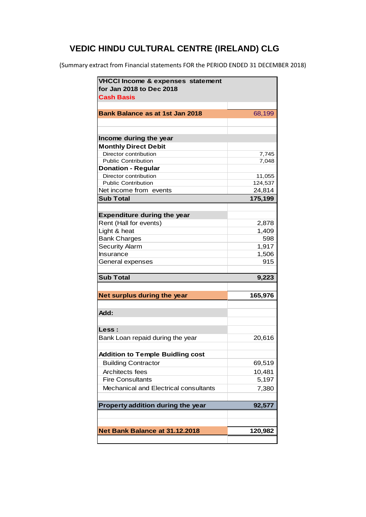(Summary extract from Financial statements FOR the PERIOD ENDED 31 DECEMBER 2018)

| for Jan 2018 to Dec 2018                             |         |
|------------------------------------------------------|---------|
| <b>Cash Basis</b>                                    |         |
|                                                      |         |
| <b>Bank Balance as at 1st Jan 2018</b>               | 68,199  |
|                                                      |         |
|                                                      |         |
| Income during the year                               |         |
| <b>Monthly Direct Debit</b>                          |         |
| Director contribution                                | 7,745   |
| <b>Public Contribution</b>                           | 7,048   |
| <b>Donation - Regular</b>                            |         |
| Director contribution                                | 11,055  |
| <b>Public Contribution</b><br>Net income from events | 124,537 |
| <b>Sub Total</b>                                     | 24,814  |
|                                                      | 175,199 |
|                                                      |         |
| <b>Expenditure during the year</b>                   |         |
| Rent (Hall for events)                               | 2,878   |
| Light & heat                                         | 1,409   |
| <b>Bank Charges</b>                                  | 598     |
| <b>Security Alarm</b><br>Insurance                   | 1,917   |
|                                                      | 1,506   |
| General expenses                                     | 915     |
| <b>Sub Total</b>                                     |         |
|                                                      | 9,223   |
|                                                      |         |
| Net surplus during the year                          | 165,976 |
|                                                      |         |
| Add:                                                 |         |
|                                                      |         |
| Less :                                               |         |
|                                                      |         |
| Bank Loan repaid during the year                     | 20,616  |
|                                                      |         |
| <b>Addition to Temple Buidling cost</b>              |         |
| <b>Building Contractor</b>                           | 69,519  |
| Architects fees                                      | 10,481  |
| <b>Fire Consultants</b>                              | 5,197   |
| Mechanical and Electrical consultants                | 7,380   |
|                                                      |         |
| Property addition during the year                    | 92,577  |
|                                                      |         |
| Net Bank Balance at 31.12.2018                       | 120,982 |